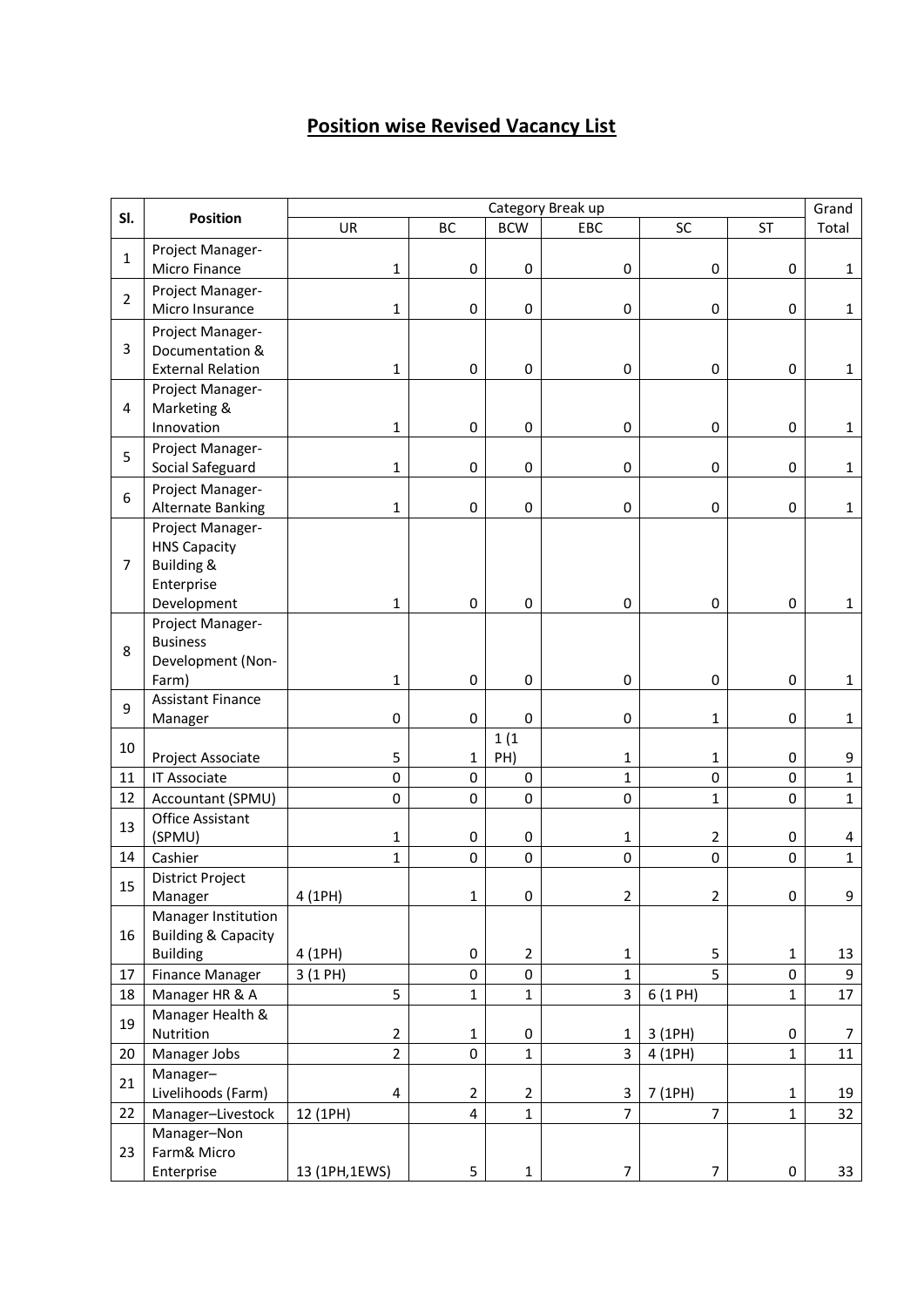## **Position wise Revised Vacancy List**

| SI.            | <b>Position</b>                      | Category Break up |                |              |                |                  |              |                  |
|----------------|--------------------------------------|-------------------|----------------|--------------|----------------|------------------|--------------|------------------|
|                |                                      | UR                | BC             | <b>BCW</b>   | EBC            | SC               | <b>ST</b>    | Grand<br>Total   |
|                | Project Manager-                     |                   |                |              |                |                  |              |                  |
| $\mathbf{1}$   | Micro Finance                        | 1                 | $\pmb{0}$      | $\pmb{0}$    | $\pmb{0}$      | $\pmb{0}$        | $\pmb{0}$    | $\mathbf{1}$     |
| $\overline{2}$ | Project Manager-                     |                   |                |              |                |                  |              |                  |
|                | Micro Insurance                      | $\mathbf{1}$      | $\pmb{0}$      | 0            | $\pmb{0}$      | $\pmb{0}$        | 0            | $\mathbf{1}$     |
| 3              | Project Manager-                     |                   |                |              |                |                  |              |                  |
|                | Documentation &                      |                   |                |              |                |                  |              |                  |
|                | <b>External Relation</b>             | $\mathbf{1}$      | 0              | $\mathbf 0$  | 0              | 0                | 0            | $\mathbf{1}$     |
| 4              | Project Manager-                     |                   |                |              |                |                  |              |                  |
|                | Marketing &<br>Innovation            |                   | $\mathsf 0$    | $\pmb{0}$    |                | $\pmb{0}$        | 0            |                  |
|                |                                      | 1                 |                |              | 0              |                  |              | $\mathbf{1}$     |
| 5<br>6         | Project Manager-<br>Social Safeguard | $\mathbf{1}$      | 0              | $\pmb{0}$    | 0              | $\pmb{0}$        | 0            | $\mathbf{1}$     |
|                | Project Manager-                     |                   |                |              |                |                  |              |                  |
|                | <b>Alternate Banking</b>             | $\mathbf 1$       | 0              | $\mathbf 0$  | 0              | 0                | 0            | $\mathbf{1}$     |
|                | Project Manager-                     |                   |                |              |                |                  |              |                  |
|                | <b>HNS Capacity</b>                  |                   |                |              |                |                  |              |                  |
| $\overline{7}$ | Building &                           |                   |                |              |                |                  |              |                  |
|                | Enterprise                           |                   |                |              |                |                  |              |                  |
|                | Development                          | $\mathbf{1}$      | $\pmb{0}$      | $\mathbf 0$  | 0              | $\mathbf 0$      | $\pmb{0}$    | $\mathbf{1}$     |
| 8              | Project Manager-                     |                   |                |              |                |                  |              |                  |
|                | <b>Business</b>                      |                   |                |              |                |                  |              |                  |
|                | Development (Non-                    |                   |                |              |                |                  |              |                  |
|                | Farm)                                | $\mathbf 1$       | $\pmb{0}$      | $\mathbf 0$  | 0              | $\pmb{0}$        | 0            | $\mathbf{1}$     |
| 9              | <b>Assistant Finance</b><br>Manager  | $\pmb{0}$         | 0              | $\pmb{0}$    | 0              | 1                | 0            | $\mathbf{1}$     |
|                |                                      |                   |                | 1(1)         |                |                  |              |                  |
| 10             | Project Associate                    | 5                 | $\mathbf{1}$   | PH)          | 1              | 1                | 0            | 9                |
| 11             | IT Associate                         | $\pmb{0}$         | 0              | $\pmb{0}$    | $\mathbf{1}$   | $\mathbf 0$      | 0            | $\mathbf 1$      |
| 12             | Accountant (SPMU)                    | $\mathbf 0$       | 0              | $\pmb{0}$    | $\mathbf 0$    | $\mathbf 1$      | 0            | $\mathbf{1}$     |
|                | Office Assistant                     |                   |                |              |                |                  |              |                  |
| 13             | (SPMU)                               | 1                 | 0              | 0            | 1              | $\overline{2}$   | 0            | 4                |
| 14             | Cashier                              | $\mathbf{1}$      | 0              | $\mathbf 0$  | 0              | $\pmb{0}$        | 0            | $\mathbf{1}$     |
| 15             | District Project                     |                   |                |              |                |                  |              |                  |
|                | Manager                              | 4 (1PH)           | $\mathbf{1}$   | $\pmb{0}$    | $\overline{2}$ | $\overline{2}$   | 0            | 9                |
| 16             | Manager Institution                  |                   |                |              |                |                  |              |                  |
|                | <b>Building &amp; Capacity</b>       |                   |                |              |                |                  |              |                  |
|                | <b>Building</b>                      | 4 (1PH)           | 0              | $\mathbf 2$  | $\mathbf{1}$   | 5<br>5           | $\mathbf{1}$ | 13               |
| 17             | Finance Manager                      | 3 (1 PH)          | 0              | $\pmb{0}$    | 1              |                  | 0            | 9                |
| 18             | Manager HR & A<br>Manager Health &   | 5                 | $\mathbf{1}$   | 1            | 3              | 6 (1 PH)         | $\mathbf 1$  | 17               |
| 19             | Nutrition                            | $\overline{2}$    | $\mathbf{1}$   | $\pmb{0}$    | 1              | 3 (1PH)          | $\pmb{0}$    | $\boldsymbol{7}$ |
| 20             | Manager Jobs                         | $\overline{2}$    | 0              | $\mathbf 1$  | 3              | 4 (1PH)          | $\mathbf{1}$ | 11               |
|                | Manager-                             |                   |                |              |                |                  |              |                  |
| 21             | Livelihoods (Farm)                   | 4                 | $\overline{2}$ | $\mathbf 2$  | 3              | 7 (1PH)          | 1            | 19               |
| 22             | Manager-Livestock                    | 12 (1PH)          | 4              | $\mathbf{1}$ | $\overline{7}$ | $\overline{7}$   | $\mathbf{1}$ | 32               |
|                | Manager-Non                          |                   |                |              |                |                  |              |                  |
| 23             | Farm& Micro                          |                   |                |              |                |                  |              |                  |
|                | Enterprise                           | 13 (1PH,1EWS)     | 5              | $\mathbf 1$  | $\overline{7}$ | $\boldsymbol{7}$ | $\pmb{0}$    | 33               |